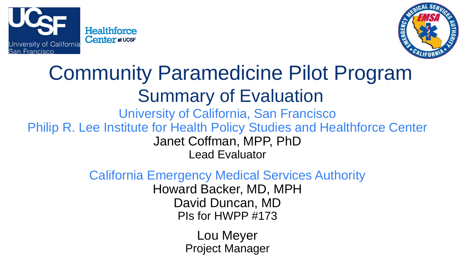



## Community Paramedicine Pilot Program Summary of Evaluation

University of California, San Francisco Philip R. Lee Institute for Health Policy Studies and Healthforce Center Janet Coffman, MPP, PhD Lead Evaluator

California Emergency Medical Services Authority

Howard Backer, MD, MPH David Duncan, MD PIs for HWPP #173

> Lou Meyer Project Manager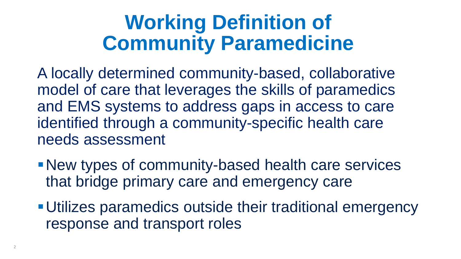## **Working Definition of Community Paramedicine**

A locally determined community-based, collaborative model of care that leverages the skills of paramedics and EMS systems to address gaps in access to care identified through a community-specific health care needs assessment

- New types of community-based health care services that bridge primary care and emergency care
- Utilizes paramedics outside their traditional emergency response and transport roles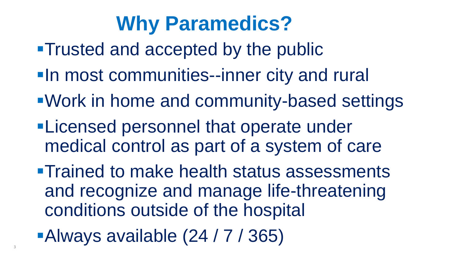## **Why Paramedics?**

- **Trusted and accepted by the public**
- **-In most communities--inner city and rural**
- Work in home and community-based settings
- **-Licensed personnel that operate under** medical control as part of a system of care
- **Trained to make health status assessments** and recognize and manage life-threatening conditions outside of the hospital
- Always available  $(24 / 7 / 365)$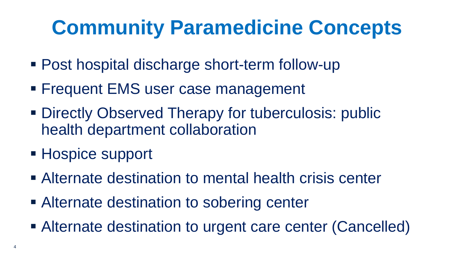## **Community Paramedicine Concepts**

- Post hospital discharge short-term follow-up
- **Figure Frequent EMS user case management**
- Directly Observed Therapy for tuberculosis: public health department collaboration
- Hospice support
- Alternate destination to mental health crisis center
- **Example 2** Alternate destination to sobering center
- Alternate destination to urgent care center (Cancelled)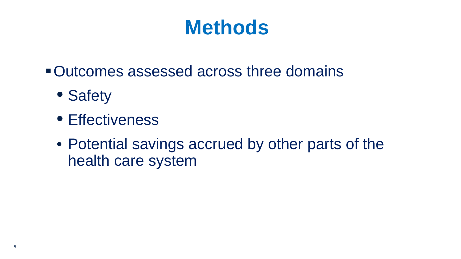## **Methods**

- Outcomes assessed across three domains
	- Safety
	- Effectiveness
	- Potential savings accrued by other parts of the health care system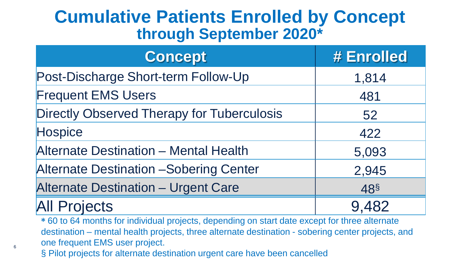#### **Cumulative Patients Enrolled by Concept through September 2020\***

| <b>Concept</b>                                    | # Enrolled      |
|---------------------------------------------------|-----------------|
| Post-Discharge Short-term Follow-Up               | 1,814           |
| <b>Frequent EMS Users</b>                         | 481             |
| <b>Directly Observed Therapy for Tuberculosis</b> | 52              |
| <b>Hospice</b>                                    | 422             |
| <b>Alternate Destination - Mental Health</b>      | 5,093           |
| <b>Alternate Destination - Sobering Center</b>    | 2,945           |
| <b>Alternate Destination - Urgent Care</b>        | 48 <sup>§</sup> |
| <b>All Projects</b>                               | 9.482           |

**\*** 60 to 64 months for individual projects, depending on start date except for three alternate destination – mental health projects, three alternate destination - sobering center projects, and one frequent EMS user project.

§ Pilot projects for alternate destination urgent care have been cancelled

6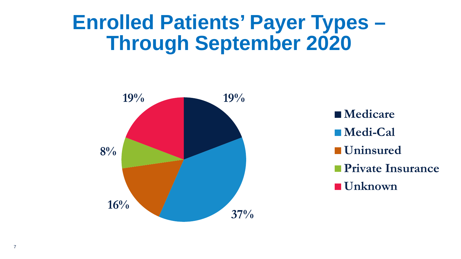## **Enrolled Patients' Payer Types – Through September 2020**



■ Medicare **Medi-Cal Uninsured Private Insurance Unknown**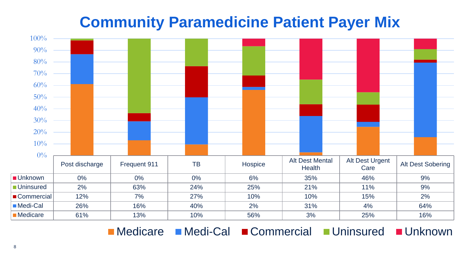#### **Community Paramedicine Patient Payer Mix**



■Medicare Medi-Cal ■Commercial ■Uninsured ■Unknown

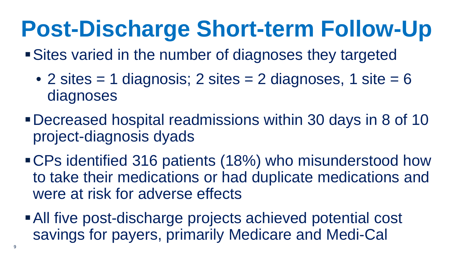# **Post-Discharge Short-term Follow-Up**

- Sites varied in the number of diagnoses they targeted
	- 2 sites  $= 1$  diagnosis; 2 sites  $= 2$  diagnoses, 1 site  $= 6$ diagnoses
- Decreased hospital readmissions within 30 days in 8 of 10 project-diagnosis dyads
- CPs identified 316 patients (18%) who misunderstood how to take their medications or had duplicate medications and were at risk for adverse effects
- All five post-discharge projects achieved potential cost savings for payers, primarily Medicare and Medi-Cal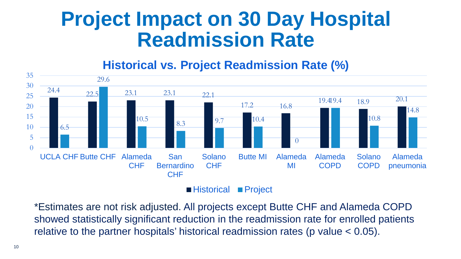#### **Project Impact on 30 Day Hospital Readmission Rate**

#### **Historical vs. Project Readmission Rate (%)**



\*Estimates are not risk adjusted. All projects except Butte CHF and Alameda COPD showed statistically significant reduction in the readmission rate for enrolled patients relative to the partner hospitals' historical readmission rates (p value < 0.05).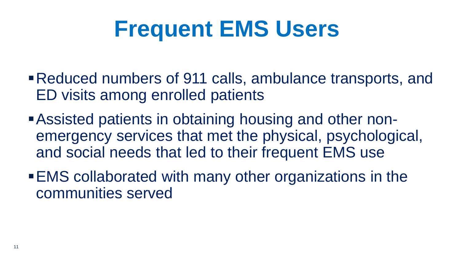## **Frequent EMS Users**

- Reduced numbers of 911 calls, ambulance transports, and ED visits among enrolled patients
- Assisted patients in obtaining housing and other nonemergency services that met the physical, psychological, and social needs that led to their frequent EMS use
- EMS collaborated with many other organizations in the communities served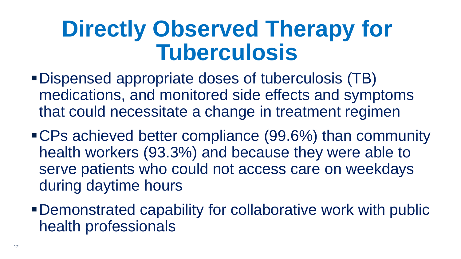## **Directly Observed Therapy for Tuberculosis**

- Dispensed appropriate doses of tuberculosis (TB) medications, and monitored side effects and symptoms that could necessitate a change in treatment regimen
- CPs achieved better compliance (99.6%) than community health workers (93.3%) and because they were able to serve patients who could not access care on weekdays during daytime hours
- Demonstrated capability for collaborative work with public health professionals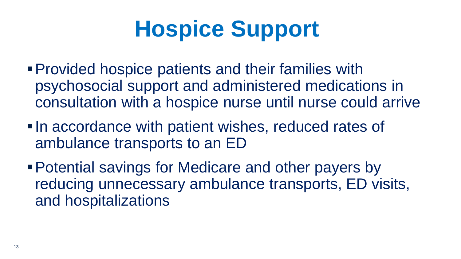# **Hospice Support**

- Provided hospice patients and their families with psychosocial support and administered medications in consultation with a hospice nurse until nurse could arrive
- In accordance with patient wishes, reduced rates of ambulance transports to an ED
- Potential savings for Medicare and other payers by reducing unnecessary ambulance transports, ED visits, and hospitalizations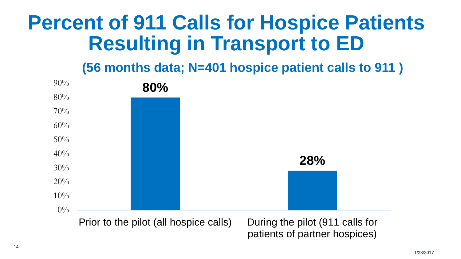## **Percent of 911 Calls for Hospice Patients Resulting in Transport to ED**

**(56 months data; N=401 hospice patient calls to 911 )**

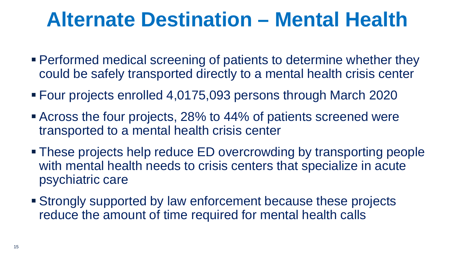## **Alternate Destination – Mental Health**

- Performed medical screening of patients to determine whether they could be safely transported directly to a mental health crisis center
- Four projects enrolled 4,0175,093 persons through March 2020
- Across the four projects, 28% to 44% of patients screened were transported to a mental health crisis center
- These projects help reduce ED overcrowding by transporting people with mental health needs to crisis centers that specialize in acute psychiatric care
- Strongly supported by law enforcement because these projects reduce the amount of time required for mental health calls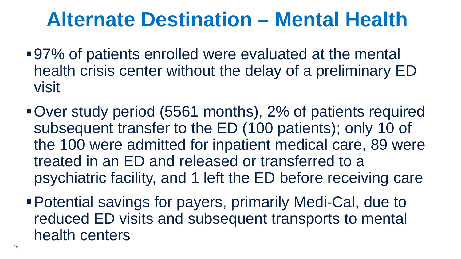## **Alternate Destination – Mental Health**

- 97% of patients enrolled were evaluated at the mental health crisis center without the delay of a preliminary ED visit
- Over study period (5561 months), 2% of patients required subsequent transfer to the ED (100 patients); only 10 of the 100 were admitted for inpatient medical care, 89 were treated in an ED and released or transferred to a psychiatric facility, and 1 left the ED before receiving care
- Potential savings for payers, primarily Medi-Cal, due to reduced ED visits and subsequent transports to mental health centers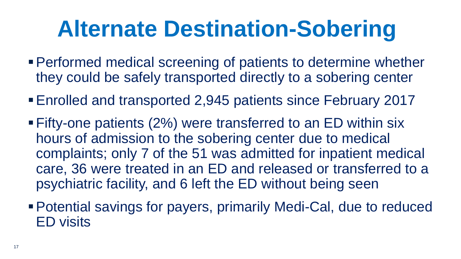# **Alternate Destination-Sobering**

- Performed medical screening of patients to determine whether they could be safely transported directly to a sobering center
- Enrolled and transported 2,945 patients since February 2017
- Fifty-one patients (2%) were transferred to an ED within six hours of admission to the sobering center due to medical complaints; only 7 of the 51 was admitted for inpatient medical care, 36 were treated in an ED and released or transferred to a psychiatric facility, and 6 left the ED without being seen
- Potential savings for payers, primarily Medi-Cal, due to reduced ED visits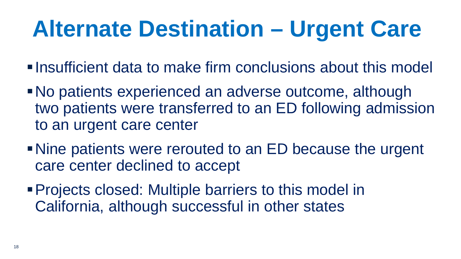# **Alternate Destination – Urgent Care**

Insufficient data to make firm conclusions about this model

- No patients experienced an adverse outcome, although two patients were transferred to an ED following admission to an urgent care center
- Nine patients were rerouted to an ED because the urgent care center declined to accept
- Projects closed: Multiple barriers to this model in California, although successful in other states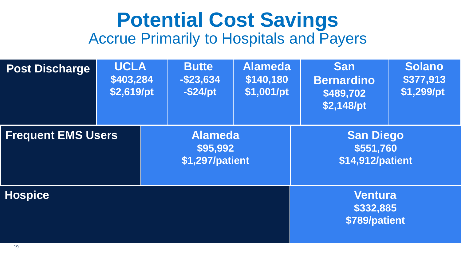#### **Potential Cost Savings**  Accrue Primarily to Hospitals and Payers

| <b>Post Discharge</b>     | <b>UCLA</b><br>\$403,284<br>\$2,619/pt | <b>Butte</b><br>$-$ \$23,634<br>$-$ \$24/pt   | <b>Alameda</b><br>\$140,180<br>\$1,001/pt | <b>San</b><br><b>Bernardino</b><br>\$489,702<br>\$2,148/pt | <b>Solano</b><br>\$377,913<br>\$1,299/pt |  |
|---------------------------|----------------------------------------|-----------------------------------------------|-------------------------------------------|------------------------------------------------------------|------------------------------------------|--|
| <b>Frequent EMS Users</b> |                                        | <b>Alameda</b><br>\$95,992<br>\$1,297/patient |                                           | <b>San Diego</b><br>\$551,760<br>\$14,912/patient          |                                          |  |
| <b>Hospice</b>            |                                        |                                               |                                           | <b>Ventura</b><br>\$332,885<br>\$789/patient               |                                          |  |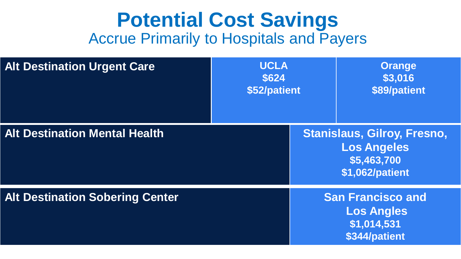#### **Potential Cost Savings**  Accrue Primarily to Hospitals and Payers

| <b>Alt Destination Urgent Care</b>     | <b>UCLA</b><br>\$624<br>\$52/patient |  | <b>Orange</b><br>\$3,016<br>\$89/patient                                                   |
|----------------------------------------|--------------------------------------|--|--------------------------------------------------------------------------------------------|
| <b>Alt Destination Mental Health</b>   |                                      |  | <b>Stanislaus, Gilroy, Fresno,</b><br><b>Los Angeles</b><br>\$5,463,700<br>\$1,062/patient |
| <b>Alt Destination Sobering Center</b> |                                      |  | <b>San Francisco and</b><br><b>Los Angles</b><br>\$1,014,531<br>\$344/patient              |